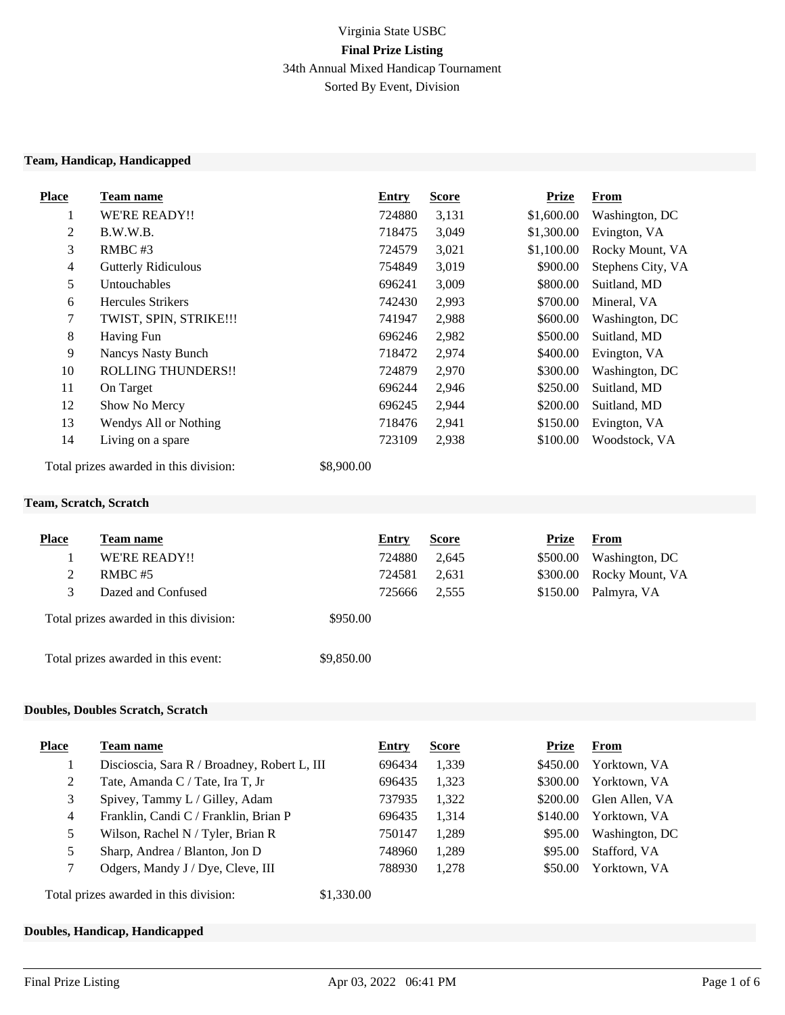# Virginia State USBC **Final Prize Listing** 34th Annual Mixed Handicap Tournament Sorted By Event, Division

#### **Team, Handicap, Handicapped**

| <b>Place</b>   | Team name                              | Entry      | <b>Score</b> | <b>Prize</b> | <b>From</b>       |
|----------------|----------------------------------------|------------|--------------|--------------|-------------------|
| $\perp$        | WE'RE READY!!                          | 724880     | 3,131        | \$1,600.00   | Washington, DC    |
| 2              | B.W.W.B.                               | 718475     | 3,049        | \$1,300.00   | Evington, VA      |
| 3              | $RMBC$ #3                              | 724579     | 3,021        | \$1,100.00   | Rocky Mount, VA   |
| $\overline{4}$ | <b>Gutterly Ridiculous</b>             | 754849     | 3,019        | \$900.00     | Stephens City, VA |
| 5              | Untouchables                           | 696241     | 3,009        | \$800.00     | Suitland, MD      |
| 6              | <b>Hercules Strikers</b>               | 742430     | 2,993        | \$700.00     | Mineral, VA       |
| $\tau$         | TWIST, SPIN, STRIKE!!!                 | 741947     | 2,988        | \$600.00     | Washington, DC    |
| 8              | <b>Having Fun</b>                      | 696246     | 2,982        | \$500.00     | Suitland, MD      |
| 9              | <b>Nancys Nasty Bunch</b>              | 718472     | 2,974        | \$400.00     | Evington, VA      |
| 10             | <b>ROLLING THUNDERS!!</b>              | 724879     | 2,970        | \$300.00     | Washington, DC    |
| 11             | On Target                              | 696244     | 2,946        | \$250.00     | Suitland, MD      |
| 12             | Show No Mercy                          | 696245     | 2,944        | \$200.00     | Suitland, MD      |
| 13             | Wendys All or Nothing                  | 718476     | 2,941        | \$150.00     | Evington, VA      |
| 14             | Living on a spare                      | 723109     | 2,938        | \$100.00     | Woodstock, VA     |
|                | Total prizes awarded in this division: | \$8,900.00 |              |              |                   |

#### **Team, Scratch, Scratch**

| <b>Place</b> | <b>Team name</b>                       | Entry      | <b>Score</b> | Prize    | From            |
|--------------|----------------------------------------|------------|--------------|----------|-----------------|
|              | WE'RE READY!!                          | 724880     | 2,645        | \$500.00 | Washington, DC  |
| 2            | RMBC#5                                 | 724581     | 2.631        | \$300.00 | Rocky Mount, VA |
|              | Dazed and Confused                     | 725666     | 2,555        | \$150.00 | Palmyra, VA     |
|              | Total prizes awarded in this division: | \$950.00   |              |          |                 |
|              | Total prizes awarded in this event:    | \$9,850.00 |              |          |                 |

#### **Doubles, Doubles Scratch, Scratch**

| <b>Place</b>                                         | Team name                                    | Entry  | <b>Score</b> | Prize    | From           |
|------------------------------------------------------|----------------------------------------------|--------|--------------|----------|----------------|
|                                                      | Discioscia, Sara R / Broadney, Robert L, III | 696434 | 1,339        | \$450.00 | Yorktown, VA   |
| 2                                                    | Tate, Amanda C / Tate, Ira T, Jr             | 696435 | 1,323        | \$300.00 | Yorktown, VA   |
| 3                                                    | Spivey, Tammy L / Gilley, Adam               | 737935 | 1,322        | \$200.00 | Glen Allen, VA |
| 4                                                    | Franklin, Candi C / Franklin, Brian P        | 696435 | 1,314        | \$140.00 | Yorktown, VA   |
|                                                      | Wilson, Rachel N / Tyler, Brian R            | 750147 | 1,289        | \$95.00  | Washington, DC |
|                                                      | Sharp, Andrea / Blanton, Jon D               | 748960 | 1,289        | \$95.00  | Stafford, VA   |
|                                                      | Odgers, Mandy J / Dye, Cleve, III            | 788930 | 1,278        | \$50.00  | Yorktown, VA   |
| \$1,330.00<br>Total prizes awarded in this division: |                                              |        |              |          |                |

## **Doubles, Handicap, Handicapped**

**Place Team name Entry Score Prize From**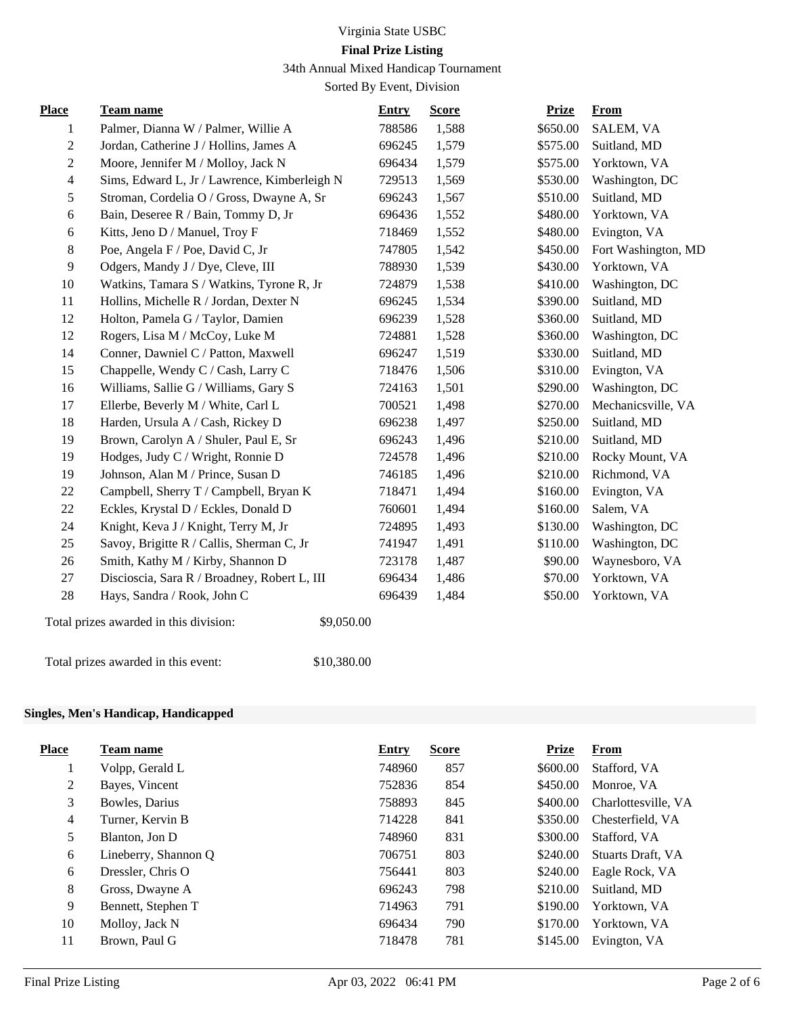# Virginia State USBC

# **Final Prize Listing**

34th Annual Mixed Handicap Tournament

Sorted By Event, Division

| <b>Place</b>     | Team name                                            | <b>Entry</b> | <b>Score</b> | <b>Prize</b> | <b>From</b>         |
|------------------|------------------------------------------------------|--------------|--------------|--------------|---------------------|
| 1                | Palmer, Dianna W / Palmer, Willie A                  | 788586       | 1,588        | \$650.00     | SALEM, VA           |
| $\boldsymbol{2}$ | Jordan, Catherine J / Hollins, James A               | 696245       | 1,579        | \$575.00     | Suitland, MD        |
| $\overline{2}$   | Moore, Jennifer M / Molloy, Jack N                   | 696434       | 1,579        | \$575.00     | Yorktown, VA        |
| $\overline{4}$   | Sims, Edward L, Jr / Lawrence, Kimberleigh N         | 729513       | 1,569        | \$530.00     | Washington, DC      |
| 5                | Stroman, Cordelia O / Gross, Dwayne A, Sr            | 696243       | 1,567        | \$510.00     | Suitland, MD        |
| 6                | Bain, Deseree R / Bain, Tommy D, Jr                  | 696436       | 1,552        | \$480.00     | Yorktown, VA        |
| 6                | Kitts, Jeno D / Manuel, Troy F                       | 718469       | 1,552        | \$480.00     | Evington, VA        |
| 8                | Poe, Angela F / Poe, David C, Jr                     | 747805       | 1,542        | \$450.00     | Fort Washington, MD |
| 9                | Odgers, Mandy J / Dye, Cleve, III                    | 788930       | 1,539        | \$430.00     | Yorktown, VA        |
| 10               | Watkins, Tamara S / Watkins, Tyrone R, Jr            | 724879       | 1,538        | \$410.00     | Washington, DC      |
| 11               | Hollins, Michelle R / Jordan, Dexter N               | 696245       | 1,534        | \$390.00     | Suitland, MD        |
| 12               | Holton, Pamela G / Taylor, Damien                    | 696239       | 1,528        | \$360.00     | Suitland, MD        |
| 12               | Rogers, Lisa M / McCoy, Luke M                       | 724881       | 1,528        | \$360.00     | Washington, DC      |
| 14               | Conner, Dawniel C / Patton, Maxwell                  | 696247       | 1,519        | \$330.00     | Suitland, MD        |
| 15               | Chappelle, Wendy C / Cash, Larry C                   | 718476       | 1,506        | \$310.00     | Evington, VA        |
| 16               | Williams, Sallie G / Williams, Gary S                | 724163       | 1,501        | \$290.00     | Washington, DC      |
| 17               | Ellerbe, Beverly M / White, Carl L                   | 700521       | 1,498        | \$270.00     | Mechanicsville, VA  |
| 18               | Harden, Ursula A / Cash, Rickey D                    | 696238       | 1,497        | \$250.00     | Suitland, MD        |
| 19               | Brown, Carolyn A / Shuler, Paul E, Sr                | 696243       | 1,496        | \$210.00     | Suitland, MD        |
| 19               | Hodges, Judy C / Wright, Ronnie D                    | 724578       | 1,496        | \$210.00     | Rocky Mount, VA     |
| 19               | Johnson, Alan M / Prince, Susan D                    | 746185       | 1,496        | \$210.00     | Richmond, VA        |
| 22               | Campbell, Sherry T / Campbell, Bryan K               | 718471       | 1,494        | \$160.00     | Evington, VA        |
| 22               | Eckles, Krystal D / Eckles, Donald D                 | 760601       | 1,494        | \$160.00     | Salem, VA           |
| 24               | Knight, Keva J / Knight, Terry M, Jr                 | 724895       | 1,493        | \$130.00     | Washington, DC      |
| 25               | Savoy, Brigitte R / Callis, Sherman C, Jr            | 741947       | 1,491        | \$110.00     | Washington, DC      |
| 26               | Smith, Kathy M / Kirby, Shannon D                    | 723178       | 1,487        | \$90.00      | Waynesboro, VA      |
| 27               | Discioscia, Sara R / Broadney, Robert L, III         | 696434       | 1,486        | \$70.00      | Yorktown, VA        |
| 28               | Hays, Sandra / Rook, John C                          | 696439       | 1,484        | \$50.00      | Yorktown, VA        |
|                  | \$9,050.00<br>Total prizes awarded in this division: |              |              |              |                     |

Total prizes awarded in this event: \$10,380.00

## **Singles, Men's Handicap, Handicapped**

| Place          | Team name            | Entry  | <b>Score</b> | <b>Prize</b> | From                |
|----------------|----------------------|--------|--------------|--------------|---------------------|
| 1              | Volpp, Gerald L      | 748960 | 857          | \$600.00     | Stafford, VA        |
| 2              | Bayes, Vincent       | 752836 | 854          | \$450.00     | Monroe, VA          |
| 3              | Bowles, Darius       | 758893 | 845          | \$400.00     | Charlottesville, VA |
| $\overline{4}$ | Turner, Kervin B     | 714228 | 841          | \$350.00     | Chesterfield, VA    |
| 5              | Blanton. Jon D       | 748960 | 831          | \$300.00     | Stafford, VA        |
| 6              | Lineberry, Shannon Q | 706751 | 803          | \$240.00     | Stuarts Draft, VA   |
| 6              | Dressler, Chris O    | 756441 | 803          | \$240.00     | Eagle Rock, VA      |
| 8              | Gross, Dwayne A      | 696243 | 798          | \$210.00     | Suitland, MD        |
| 9              | Bennett, Stephen T   | 714963 | 791          | \$190.00     | Yorktown, VA        |
| 10             | Molloy, Jack N       | 696434 | 790          | \$170.00     | Yorktown, VA        |
| 11             | Brown, Paul G        | 718478 | 781          | \$145.00     | Evington, VA        |
|                |                      |        |              |              |                     |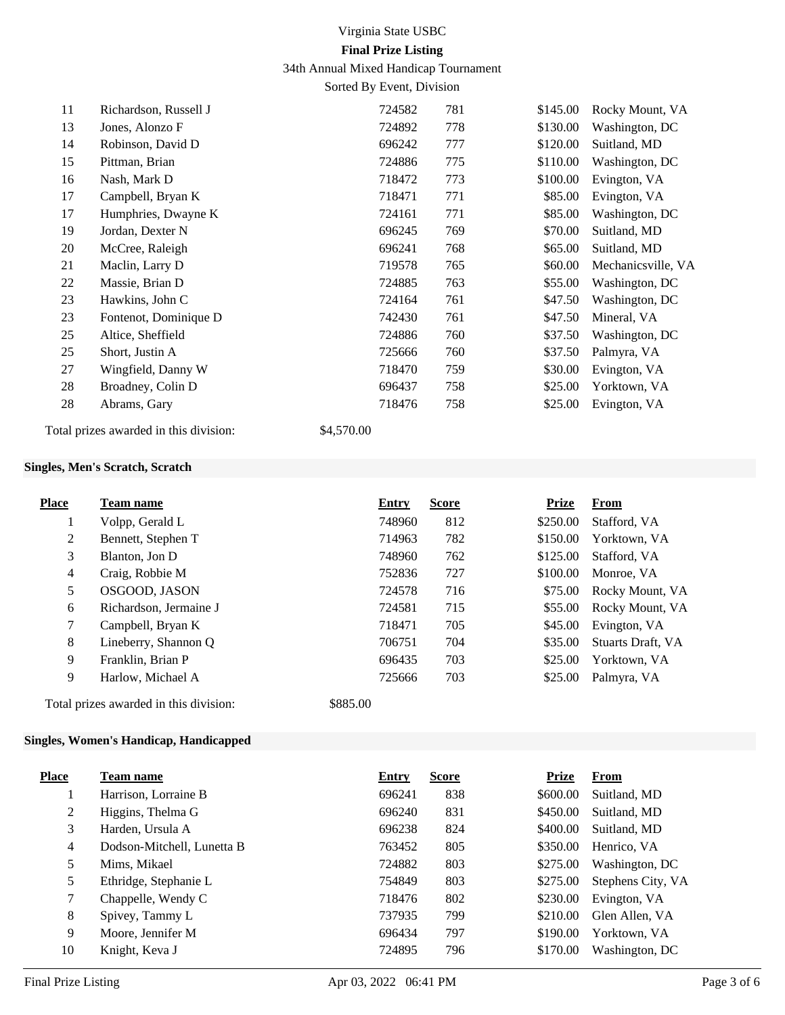# Virginia State USBC **Final Prize Listing**

34th Annual Mixed Handicap Tournament

Sorted By Event, Division

| 11 | Richardson, Russell J | 724582 | 781 | \$145.00 | Rocky Mount, VA    |
|----|-----------------------|--------|-----|----------|--------------------|
| 13 | Jones, Alonzo F       | 724892 | 778 | \$130.00 | Washington, DC     |
| 14 | Robinson, David D     | 696242 | 777 | \$120.00 | Suitland, MD       |
| 15 | Pittman, Brian        | 724886 | 775 | \$110.00 | Washington, DC     |
| 16 | Nash, Mark D          | 718472 | 773 | \$100.00 | Evington, VA       |
| 17 | Campbell, Bryan K     | 718471 | 771 | \$85.00  | Evington, VA       |
| 17 | Humphries, Dwayne K   | 724161 | 771 | \$85.00  | Washington, DC     |
| 19 | Jordan, Dexter N      | 696245 | 769 | \$70.00  | Suitland, MD       |
| 20 | McCree, Raleigh       | 696241 | 768 | \$65.00  | Suitland, MD       |
| 21 | Maclin, Larry D       | 719578 | 765 | \$60.00  | Mechanicsville, VA |
| 22 | Massie, Brian D       | 724885 | 763 | \$55.00  | Washington, DC     |
| 23 | Hawkins, John C       | 724164 | 761 | \$47.50  | Washington, DC     |
| 23 | Fontenot, Dominique D | 742430 | 761 | \$47.50  | Mineral, VA        |
| 25 | Altice, Sheffield     | 724886 | 760 | \$37.50  | Washington, DC     |
| 25 | Short, Justin A       | 725666 | 760 | \$37.50  | Palmyra, VA        |
| 27 | Wingfield, Danny W    | 718470 | 759 | \$30.00  | Evington, VA       |
| 28 | Broadney, Colin D     | 696437 | 758 | \$25.00  | Yorktown, VA       |
| 28 | Abrams, Gary          | 718476 | 758 | \$25.00  | Evington, VA       |
|    |                       |        |     |          |                    |

Total prizes awarded in this division: \$4,570.00

#### **Singles, Men's Scratch, Scratch**

| <b>Place</b>   | Team name                              | <b>Entry</b> | <b>Score</b> | <b>Prize</b> | From              |
|----------------|----------------------------------------|--------------|--------------|--------------|-------------------|
| $\mathbf{I}$   | Volpp, Gerald L                        | 748960       | 812          | \$250.00     | Stafford, VA      |
| 2              | Bennett, Stephen T                     | 714963       | 782          | \$150.00     | Yorktown, VA      |
| 3              | Blanton, Jon D                         | 748960       | 762          | \$125.00     | Stafford, VA      |
| $\overline{4}$ | Craig, Robbie M                        | 752836       | 727          | \$100.00     | Monroe, VA        |
| 5              | OSGOOD, JASON                          | 724578       | 716          | \$75.00      | Rocky Mount, VA   |
| 6              | Richardson, Jermaine J                 | 724581       | 715          | \$55.00      | Rocky Mount, VA   |
| 7              | Campbell, Bryan K                      | 718471       | 705          | \$45.00      | Evington, VA      |
| 8              | Lineberry, Shannon Q                   | 706751       | 704          | \$35.00      | Stuarts Draft, VA |
| 9              | Franklin, Brian P                      | 696435       | 703          | \$25.00      | Yorktown, VA      |
| 9              | Harlow, Michael A                      | 725666       | 703          | \$25.00      | Palmyra, VA       |
|                | Total prizes awarded in this division: | \$885.00     |              |              |                   |

## **Singles, Women's Handicap, Handicapped**

| <b>Place</b> | <b>Team name</b>           | <b>Entry</b> | <b>Score</b> | <b>Prize</b> | From              |
|--------------|----------------------------|--------------|--------------|--------------|-------------------|
|              | Harrison, Lorraine B       | 696241       | 838          | \$600.00     | Suitland, MD      |
| 2            | Higgins, Thelma G          | 696240       | 831          | \$450.00     | Suitland, MD      |
| 3            | Harden, Ursula A           | 696238       | 824          | \$400.00     | Suitland, MD      |
| 4            | Dodson-Mitchell, Lunetta B | 763452       | 805          | \$350.00     | Henrico, VA       |
| 5            | Mims, Mikael               | 724882       | 803          | \$275.00     | Washington, DC    |
| 5            | Ethridge, Stephanie L      | 754849       | 803          | \$275.00     | Stephens City, VA |
| 7            | Chappelle, Wendy C         | 718476       | 802          | \$230.00     | Evington, VA      |
| 8            | Spivey, Tammy L            | 737935       | 799          | \$210.00     | Glen Allen, VA    |
| 9            | Moore, Jennifer M          | 696434       | 797          | \$190.00     | Yorktown, VA      |
| 10           | Knight, Keva J             | 724895       | 796          | \$170.00     | Washington, DC    |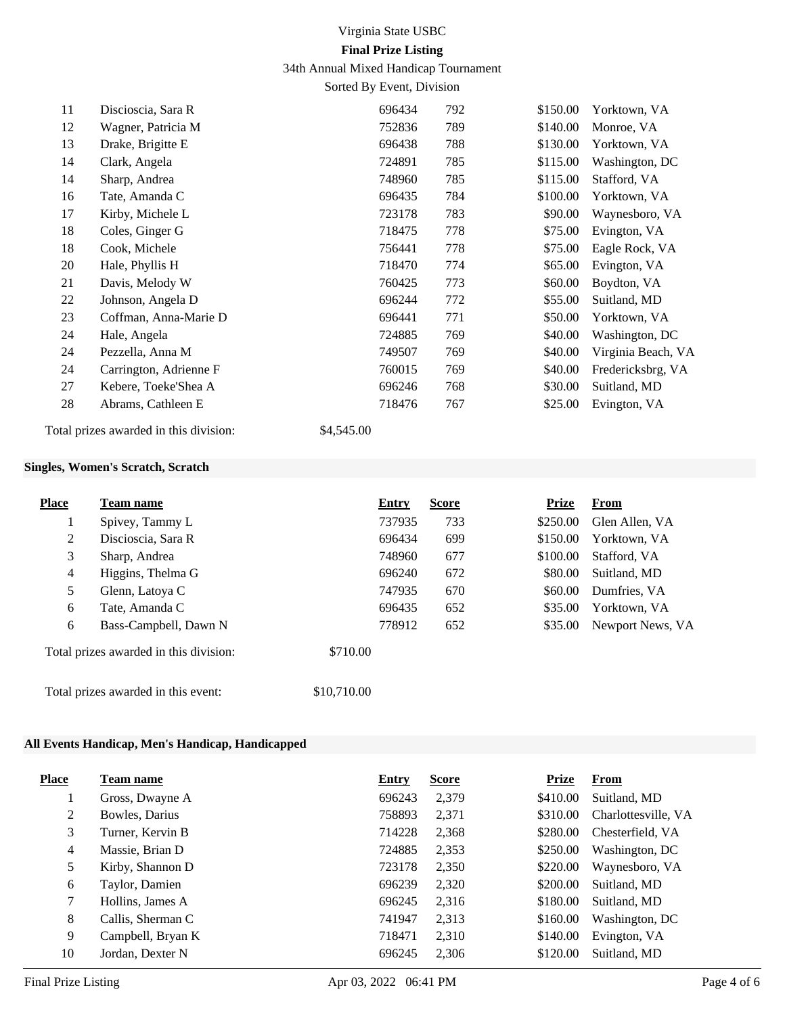# Virginia State USBC **Final Prize Listing**

34th Annual Mixed Handicap Tournament

Sorted By Event, Division

| 11 | Discioscia, Sara R     | 696434 | 792 | \$150.00 | Yorktown, VA       |
|----|------------------------|--------|-----|----------|--------------------|
| 12 | Wagner, Patricia M     | 752836 | 789 | \$140.00 | Monroe, VA         |
| 13 | Drake, Brigitte E      | 696438 | 788 | \$130.00 | Yorktown, VA       |
| 14 | Clark, Angela          | 724891 | 785 | \$115.00 | Washington, DC     |
| 14 | Sharp, Andrea          | 748960 | 785 | \$115.00 | Stafford, VA       |
| 16 | Tate, Amanda C         | 696435 | 784 | \$100.00 | Yorktown, VA       |
| 17 | Kirby, Michele L       | 723178 | 783 | \$90.00  | Waynesboro, VA     |
| 18 | Coles, Ginger G        | 718475 | 778 | \$75.00  | Evington, VA       |
| 18 | Cook, Michele          | 756441 | 778 | \$75.00  | Eagle Rock, VA     |
| 20 | Hale, Phyllis H        | 718470 | 774 | \$65.00  | Evington, VA       |
| 21 | Davis, Melody W        | 760425 | 773 | \$60.00  | Boydton, VA        |
| 22 | Johnson, Angela D      | 696244 | 772 | \$55.00  | Suitland, MD       |
| 23 | Coffman, Anna-Marie D  | 696441 | 771 | \$50.00  | Yorktown, VA       |
| 24 | Hale, Angela           | 724885 | 769 | \$40.00  | Washington, DC     |
| 24 | Pezzella, Anna M       | 749507 | 769 | \$40.00  | Virginia Beach, VA |
| 24 | Carrington, Adrienne F | 760015 | 769 | \$40.00  | Fredericksbrg, VA  |
| 27 | Kebere, Toeke'Shea A   | 696246 | 768 | \$30.00  | Suitland, MD       |
| 28 | Abrams, Cathleen E     | 718476 | 767 | \$25.00  | Evington, VA       |
|    |                        |        |     |          |                    |

Total prizes awarded in this division: \$4,545.00

## **Singles, Women's Scratch, Scratch**

| <b>Place</b>   | <b>Team name</b>                       | <b>Entry</b> | <b>Score</b> | <b>Prize</b> | From             |
|----------------|----------------------------------------|--------------|--------------|--------------|------------------|
| $\perp$        | Spivey, Tammy L                        | 737935       | 733          | \$250.00     | Glen Allen, VA   |
| $\overline{2}$ | Discioscia, Sara R                     | 696434       | 699          | \$150.00     | Yorktown, VA     |
| 3              | Sharp, Andrea                          | 748960       | 677          | \$100.00     | Stafford, VA     |
| 4              | Higgins, Thelma G                      | 696240       | 672          | \$80.00      | Suitland, MD     |
| 5              | Glenn, Latoya C                        | 747935       | 670          | \$60.00      | Dumfries, VA     |
| 6              | Tate, Amanda C                         | 696435       | 652          | \$35.00      | Yorktown, VA     |
| 6              | Bass-Campbell, Dawn N                  | 778912       | 652          | \$35.00      | Newport News, VA |
|                | Total prizes awarded in this division: | \$710.00     |              |              |                  |
|                | Total prizes awarded in this event:    | \$10,710.00  |              |              |                  |

## **All Events Handicap, Men's Handicap, Handicapped**

| <b>Place</b>   | Team name         | <b>Entry</b> | <b>Score</b> | <b>Prize</b> | <b>From</b>         |
|----------------|-------------------|--------------|--------------|--------------|---------------------|
|                | Gross, Dwayne A   | 696243       | 2,379        | \$410.00     | Suitland, MD        |
| 2              | Bowles, Darius    | 758893       | 2,371        | \$310.00     | Charlottesville, VA |
| 3              | Turner, Kervin B  | 714228       | 2,368        | \$280.00     | Chesterfield, VA    |
| $\overline{4}$ | Massie, Brian D   | 724885       | 2,353        | \$250.00     | Washington, DC      |
| 5              | Kirby, Shannon D  | 723178       | 2,350        | \$220.00     | Waynesboro, VA      |
| 6              | Taylor, Damien    | 696239       | 2,320        | \$200.00     | Suitland, MD        |
| 7              | Hollins, James A  | 696245       | 2,316        | \$180.00     | Suitland, MD        |
| 8              | Callis, Sherman C | 741947       | 2,313        | \$160.00     | Washington, DC      |
| 9              | Campbell, Bryan K | 718471       | 2,310        | \$140.00     | Evington, VA        |
| 10             | Jordan, Dexter N  | 696245       | 2,306        | \$120.00     | Suitland, MD        |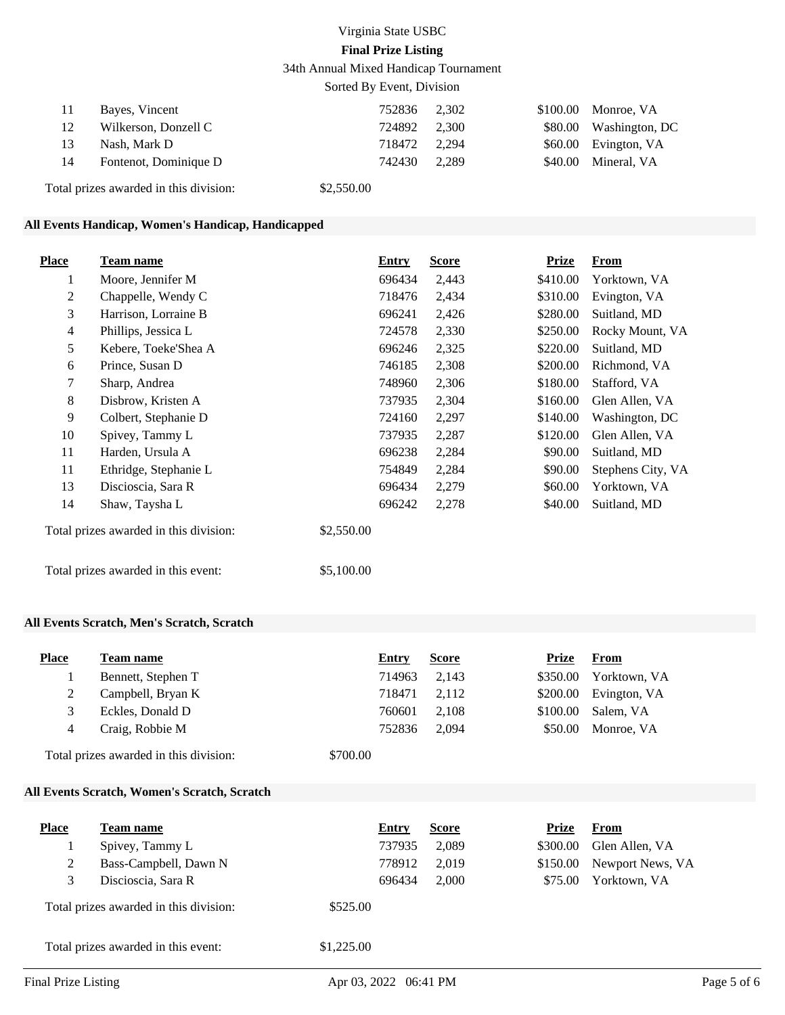# Virginia State USBC **Final Prize Listing**

34th Annual Mixed Handicap Tournament

| Sorted By Event, Division |                                        |            |       |          |                |  |
|---------------------------|----------------------------------------|------------|-------|----------|----------------|--|
| 11                        | Bayes, Vincent                         | 752836     | 2.302 | \$100.00 | Monroe, VA     |  |
| 12                        | Wilkerson, Donzell C                   | 724892     | 2.300 | \$80.00  | Washington, DC |  |
| 13                        | Nash, Mark D                           | 718472     | 2.294 | \$60.00  | Evington, VA   |  |
| 14                        | Fontenot, Dominique D                  | 742430     | 2.289 | \$40.00  | Mineral, VA    |  |
|                           | Total prizes awarded in this division: | \$2,550.00 |       |          |                |  |

#### **All Events Handicap, Women's Handicap, Handicapped**

| <b>Place</b>                           | Team name             | Entry      | <b>Score</b> | Prize    | <b>From</b>       |
|----------------------------------------|-----------------------|------------|--------------|----------|-------------------|
| 1                                      | Moore, Jennifer M     | 696434     | 2,443        | \$410.00 | Yorktown, VA      |
| 2                                      | Chappelle, Wendy C    | 718476     | 2,434        | \$310.00 | Evington, VA      |
| 3                                      | Harrison, Lorraine B  | 696241     | 2,426        | \$280.00 | Suitland, MD      |
| $\overline{4}$                         | Phillips, Jessica L   | 724578     | 2,330        | \$250.00 | Rocky Mount, VA   |
| 5                                      | Kebere, Toeke'Shea A  | 696246     | 2,325        | \$220.00 | Suitland, MD      |
| 6                                      | Prince, Susan D       | 746185     | 2,308        | \$200.00 | Richmond, VA      |
| 7                                      | Sharp, Andrea         | 748960     | 2,306        | \$180.00 | Stafford, VA      |
| 8                                      | Disbrow, Kristen A    | 737935     | 2,304        | \$160.00 | Glen Allen, VA    |
| 9                                      | Colbert, Stephanie D  | 724160     | 2,297        | \$140.00 | Washington, DC    |
| 10                                     | Spivey, Tammy L       | 737935     | 2,287        | \$120.00 | Glen Allen, VA    |
| 11                                     | Harden, Ursula A      | 696238     | 2,284        | \$90.00  | Suitland, MD      |
| 11                                     | Ethridge, Stephanie L | 754849     | 2,284        | \$90.00  | Stephens City, VA |
| 13                                     | Discioscia, Sara R    | 696434     | 2,279        | \$60.00  | Yorktown, VA      |
| 14                                     | Shaw, Taysha L        | 696242     | 2,278        | \$40.00  | Suitland, MD      |
| Total prizes awarded in this division: |                       | \$2,550.00 |              |          |                   |
| Total prizes awarded in this event:    |                       | \$5,100.00 |              |          |                   |

### **All Events Scratch, Men's Scratch, Scratch**

| <b>Place</b> | Team name          | Entry  | <b>Score</b> | Prize   | <b>From</b>            |
|--------------|--------------------|--------|--------------|---------|------------------------|
|              | Bennett, Stephen T | 714963 | 2.143        |         | \$350.00 Yorktown, VA  |
|              | Campbell, Bryan K  | 718471 | 2.112        |         | $$200.00$ Evington, VA |
|              | Eckles, Donald D   | 760601 | 2.108        |         | \$100.00 Salem. VA     |
|              | Craig, Robbie M    | 752836 | 2.094        | \$50.00 | Monroe, VA             |
|              |                    |        |              |         |                        |

Total prizes awarded in this division: \$700.00

#### **All Events Scratch, Women's Scratch, Scratch**

| <b>Place</b>                           | Team name             |            | Entry  | <b>Score</b> | Prize    | From             |
|----------------------------------------|-----------------------|------------|--------|--------------|----------|------------------|
|                                        | Spivey, Tammy L       |            | 737935 | 2,089        | \$300.00 | Glen Allen, VA   |
|                                        | Bass-Campbell, Dawn N |            | 778912 | 2.019        | \$150.00 | Newport News, VA |
|                                        | Discioscia, Sara R    |            | 696434 | 2.000        | \$75.00  | Yorktown, VA     |
| Total prizes awarded in this division: |                       | \$525.00   |        |              |          |                  |
| Total prizes awarded in this event:    |                       | \$1,225.00 |        |              |          |                  |